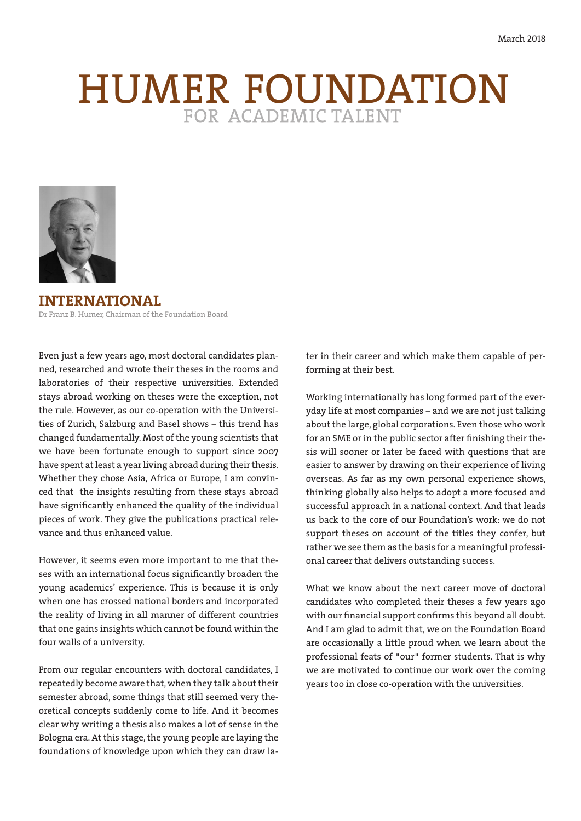# HUMER FOUNDATION



**INTERNATIONAL** Dr Franz B. Humer, Chairman of the Foundation Board

Even just a few years ago, most doctoral candidates planned, researched and wrote their theses in the rooms and laboratories of their respective universities. Extended stays abroad working on theses were the exception, not the rule. However, as our co-operation with the Universities of Zurich, Salzburg and Basel shows – this trend has changed fundamentally. Most of the young scientists that we have been fortunate enough to support since 2007 have spent at least a year living abroad during their thesis. Whether they chose Asia, Africa or Europe, I am convinced that the insights resulting from these stays abroad have significantly enhanced the quality of the individual pieces of work. They give the publications practical relevance and thus enhanced value.

However, it seems even more important to me that theses with an international focus significantly broaden the young academics' experience. This is because it is only when one has crossed national borders and incorporated the reality of living in all manner of different countries that one gains insights which cannot be found within the four walls of a university.

From our regular encounters with doctoral candidates, I repeatedly become aware that, when they talk about their semester abroad, some things that still seemed very theoretical concepts suddenly come to life. And it becomes clear why writing a thesis also makes a lot of sense in the Bologna era. At this stage, the young people are laying the foundations of knowledge upon which they can draw later in their career and which make them capable of performing at their best.

Working internationally has long formed part of the everyday life at most companies – and we are not just talking about the large, global corporations. Even those who work for an SME or in the public sector after finishing their thesis will sooner or later be faced with questions that are easier to answer by drawing on their experience of living overseas. As far as my own personal experience shows, thinking globally also helps to adopt a more focused and successful approach in a national context. And that leads us back to the core of our Foundation's work: we do not support theses on account of the titles they confer, but rather we see them as the basis for a meaningful professional career that delivers outstanding success.

What we know about the next career move of doctoral candidates who completed their theses a few years ago with our financial support confirms this beyond all doubt. And I am glad to admit that, we on the Foundation Board are occasionally a little proud when we learn about the professional feats of "our" former students. That is why we are motivated to continue our work over the coming years too in close co-operation with the universities.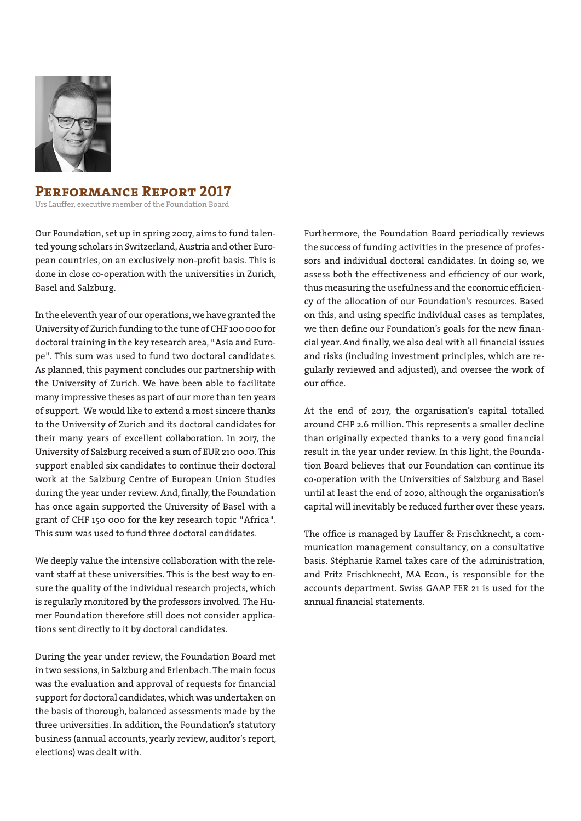

# **Performance Report 2017**

Urs Lauffer, executive member of the Foundation Board

Our Foundation, set up in spring 2007, aims to fund talented young scholars in Switzerland, Austria and other European countries, on an exclusively non-profit basis. This is done in close co-operation with the universities in Zurich, Basel and Salzburg.

In the eleventh year of our operations, we have granted the University of Zurich funding to the tune of CHF 100 000 for doctoral training in the key research area, "Asia and Europe". This sum was used to fund two doctoral candidates. As planned, this payment concludes our partnership with the University of Zurich. We have been able to facilitate many impressive theses as part of our more than ten years of support. We would like to extend a most sincere thanks to the University of Zurich and its doctoral candidates for their many years of excellent collaboration. In 2017, the University of Salzburg received a sum of EUR 210 000. This support enabled six candidates to continue their doctoral work at the Salzburg Centre of European Union Studies during the year under review. And, finally, the Foundation has once again supported the University of Basel with a grant of CHF 150 000 for the key research topic "Africa". This sum was used to fund three doctoral candidates.

We deeply value the intensive collaboration with the relevant staff at these universities. This is the best way to ensure the quality of the individual research projects, which is regularly monitored by the professors involved. The Humer Foundation therefore still does not consider applications sent directly to it by doctoral candidates.

During the year under review, the Foundation Board met in two sessions, in Salzburg and Erlenbach. The main focus was the evaluation and approval of requests for financial support for doctoral candidates, which was undertaken on the basis of thorough, balanced assessments made by the three universities. In addition, the Foundation's statutory business (annual accounts, yearly review, auditor's report, elections) was dealt with.

Furthermore, the Foundation Board periodically reviews the success of funding activities in the presence of professors and individual doctoral candidates. In doing so, we assess both the effectiveness and efficiency of our work, thus measuring the usefulness and the economic efficiency of the allocation of our Foundation's resources. Based on this, and using specific individual cases as templates, we then define our Foundation's goals for the new financial year. And finally, we also deal with all financial issues and risks (including investment principles, which are regularly reviewed and adjusted), and oversee the work of our office.

At the end of 2017, the organisation's capital totalled around CHF 2.6 million. This represents a smaller decline than originally expected thanks to a very good financial result in the year under review. In this light, the Foundation Board believes that our Foundation can continue its co-operation with the Universities of Salzburg and Basel until at least the end of 2020, although the organisation's capital will inevitably be reduced further over these years.

The office is managed by Lauffer & Frischknecht, a communication management consultancy, on a consultative basis. Stéphanie Ramel takes care of the administration, and Fritz Frischknecht, MA Econ., is responsible for the accounts department. Swiss GAAP FER 21 is used for the annual financial statements.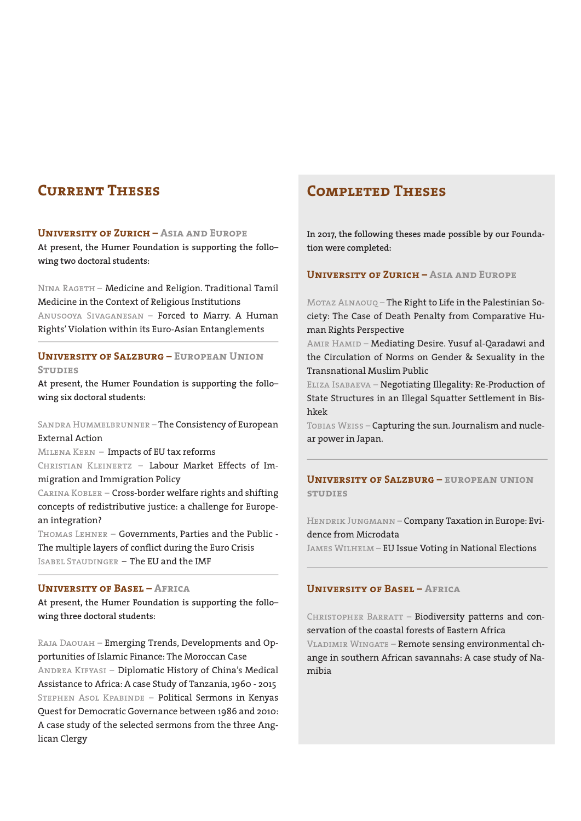# **Current Theses**

#### **University of Zurich – Asia and Europe**

**At present, the Humer Foundation is supporting the follo– wing two doctoral students:**

Nina Rageth – Medicine and Religion. Traditional Tamil Medicine in the Context of Religious Institutions Anusooya Sivaganesan – Forced to Marry. A Human Rights' Violation within its Euro-Asian Entanglements

## **University of Salzburg – European Union STUDIES**

**At present, the Humer Foundation is supporting the follo– wing six doctoral students:**

Sandra Hummelbrunner – The Consistency of European External Action

Milena Kern – Impacts of EU tax reforms Christian Kleinertz – Labour Market Effects of Immigration and Immigration Policy

Carina Kobler – Cross-border welfare rights and shifting concepts of redistributive justice: a challenge for European integration?

Thomas Lehner – Governments, Parties and the Public - The multiple layers of conflict during the Euro Crisis Isabel Staudinger – The EU and the IMF

#### **University of Basel – Africa**

**At present, the Humer Foundation is supporting the follo– wing three doctoral students:**

Raja Daouah – Emerging Trends, Developments and Opportunities of Islamic Finance: The Moroccan Case Andrea Kifyasi – Diplomatic History of China's Medical Assistance to Africa: A case Study of Tanzania, 1960 - 2015 Stephen Asol Kpabinde – Political Sermons in Kenyas Quest for Democratic Governance between 1986 and 2010: A case study of the selected sermons from the three Anglican Clergy

# **Completed Theses**

**In 2017, the following theses made possible by our Foundation were completed:**

## **University of Zurich – Asia and Europe**

Motaz Alnaouq – The Right to Life in the Palestinian Society: The Case of Death Penalty from Comparative Human Rights Perspective

AMIR HAMID – Mediating Desire. Yusuf al-Qaradawi and the Circulation of Norms on Gender & Sexuality in the Transnational Muslim Public

Eliza Isabaeva – Negotiating Illegality: Re-Production of State Structures in an Illegal Squatter Settlement in Bishkek

TOBIAS WEISS - Capturing the sun. Journalism and nuclear power in Japan.

## **University of Salzburg – european union studies**

Hendrik Jungmann – Company Taxation in Europe: Evidence from Microdata

JAMES WILHELM – EU Issue Voting in National Elections

#### **University of Basel – Africa**

CHRISTOPHER BARRATT - Biodiversity patterns and conservation of the coastal forests of Eastern Africa VLADIMIR WINGATE – Remote sensing environmental change in southern African savannahs: A case study of Namibia